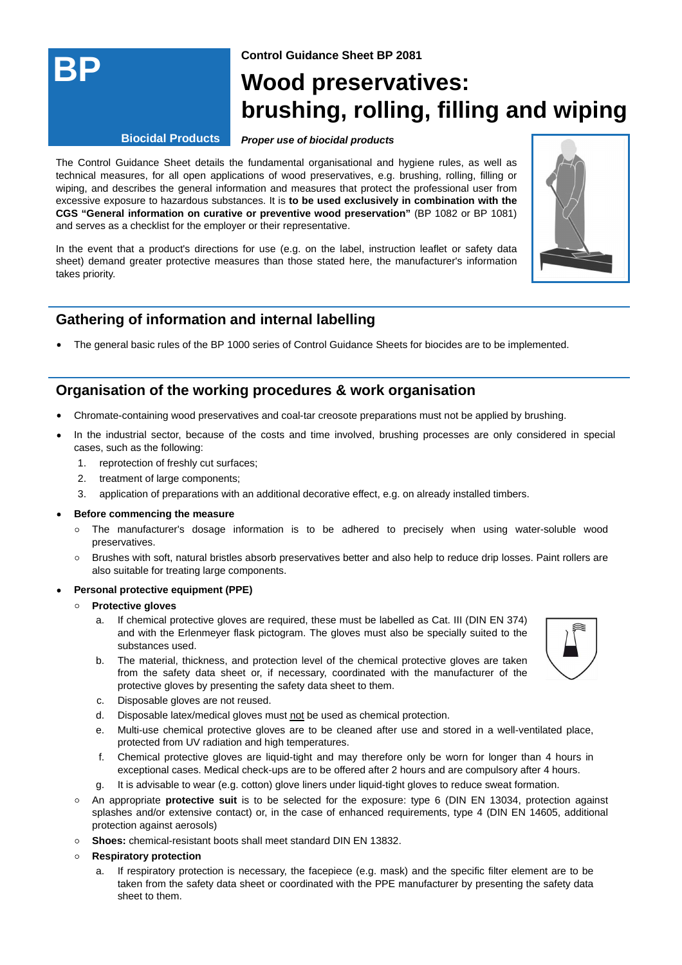

**Control Guidance Sheet BP 2081**

# **Wood preservatives: brushing, rolling, filling and wiping**

#### **Biocidal Products**

#### **Proper use of biocidal products**

The Control Guidance Sheet details the fundamental organisational and hygiene rules, as well as technical measures, for all open applications of wood preservatives, e.g. brushing, rolling, filling or wiping, and describes the general information and measures that protect the professional user from excessive exposure to hazardous substances. It is **to be used exclusively in combination with the CGS "General information on curative or preventive wood preservation"** (BP 1082 or BP 1081) and serves as a checklist for the employer or their representative.

In the event that a product's directions for use (e.g. on the label, instruction leaflet or safety data sheet) demand greater protective measures than those stated here, the manufacturer's information takes priority.



The general basic rules of the BP 1000 series of Control Guidance Sheets for biocides are to be implemented.

## **Organisation of the working procedures & work organisation**

- Chromate-containing wood preservatives and coal-tar creosote preparations must not be applied by brushing.
- In the industrial sector, because of the costs and time involved, brushing processes are only considered in special cases, such as the following:
	- 1. reprotection of freshly cut surfaces;
	- 2. treatment of large components;
	- 3. application of preparations with an additional decorative effect, e.g. on already installed timbers.

#### **Before commencing the measure**

- The manufacturer's dosage information is to be adhered to precisely when using water-soluble wood preservatives.
- o Brushes with soft, natural bristles absorb preservatives better and also help to reduce drip losses. Paint rollers are also suitable for treating large components.

#### **Personal protective equipment (PPE)**

#### **Protective gloves**

- If chemical protective gloves are required, these must be labelled as Cat. III (DIN EN 374) and with the Erlenmeyer flask pictogram. The gloves must also be specially suited to the substances used. a.
- The material, thickness, and protection level of the chemical protective gloves are taken b. from the safety data sheet or, if necessary, coordinated with the manufacturer of the protective gloves by presenting the safety data sheet to them.



- c. Disposable gloves are not reused.
- d. Disposable latex/medical gloves must not be used as chemical protection.
- Multi-use chemical protective gloves are to be cleaned after use and stored in a well-ventilated place, e. protected from UV radiation and high temperatures.
- Chemical protective gloves are liquid-tight and may therefore only be worn for longer than 4 hours in exceptional cases. Medical check-ups are to be offered after 2 hours and are compulsory after 4 hours. f.
- g. It is advisable to wear (e.g. cotton) glove liners under liquid-tight gloves to reduce sweat formation.
- An appropriate **protective suit** is to be selected for the exposure: type 6 (DIN EN 13034, protection against splashes and/or extensive contact) or, in the case of enhanced requirements, type 4 (DIN EN 14605, additional protection against aerosols)
- **Shoes:** chemical-resistant boots shall meet standard DIN EN 13832.
- **Respiratory protection**
	- If respiratory protection is necessary, the facepiece (e.g. mask) and the specific filter element are to be taken from the safety data sheet or coordinated with the PPE manufacturer by presenting the safety data sheet to them. a.